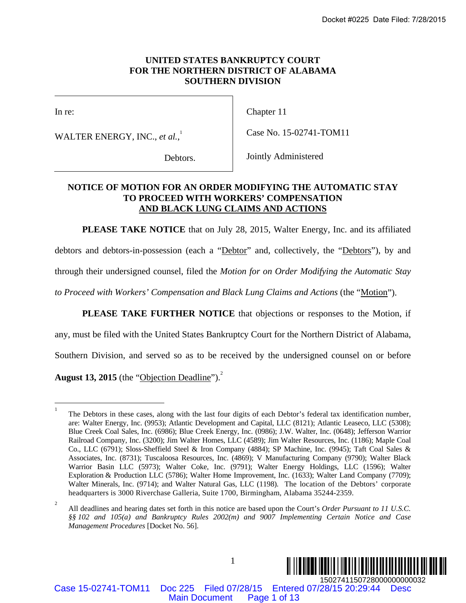# **UNITED STATES BANKRUPTCY COURT FOR THE NORTHERN DISTRICT OF ALABAMA SOUTHERN DIVISION**

 $\overline{\phantom{a}}$ 

In re:

WALTER ENERGY, INC., *et al.*, 1

Chapter 11

Case No. 15-02741-TOM11

Debtors.

Jointly Administered

# **NOTICE OF MOTION FOR AN ORDER MODIFYING THE AUTOMATIC STAY TO PROCEED WITH WORKERS' COMPENSATION AND BLACK LUNG CLAIMS AND ACTIONS**

**PLEASE TAKE NOTICE** that on July 28, 2015, Walter Energy, Inc. and its affiliated

debtors and debtors-in-possession (each a "Debtor" and, collectively, the "Debtors"), by and

through their undersigned counsel, filed the *Motion for on Order Modifying the Automatic Stay* 

*to Proceed with Workers' Compensation and Black Lung Claims and Actions* (the "Motion").

**PLEASE TAKE FURTHER NOTICE** that objections or responses to the Motion, if

any, must be filed with the United States Bankruptcy Court for the Northern District of Alabama,

Southern Division, and served so as to be received by the undersigned counsel on or before

August 13, 2015 (the "Objection Deadline").<sup>2</sup>

1



Case 15-02741-TOM11 Doc 225 Filed 07/28/15 Entered 07/28/15 20:29:44 Desc

 $\frac{1}{1}$  The Debtors in these cases, along with the last four digits of each Debtor's federal tax identification number, are: Walter Energy, Inc. (9953); Atlantic Development and Capital, LLC (8121); Atlantic Leaseco, LLC (5308); Blue Creek Coal Sales, Inc. (6986); Blue Creek Energy, Inc. (0986); J.W. Walter, Inc. (0648); Jefferson Warrior Railroad Company, Inc. (3200); Jim Walter Homes, LLC (4589); Jim Walter Resources, Inc. (1186); Maple Coal Co., LLC (6791); Sloss-Sheffield Steel & Iron Company (4884); SP Machine, Inc. (9945); Taft Coal Sales & Associates, Inc. (8731); Tuscaloosa Resources, Inc. (4869); V Manufacturing Company (9790); Walter Black Warrior Basin LLC (5973); Walter Coke, Inc. (9791); Walter Energy Holdings, LLC (1596); Walter Exploration & Production LLC (5786); Walter Home Improvement, Inc. (1633); Walter Land Company (7709); Walter Minerals, Inc. (9714); and Walter Natural Gas, LLC (1198). The location of the Debtors' corporate headquarters is 3000 Riverchase Galleria, Suite 1700, Birmingham, Alabama 35244-2359. Docket #0225 Date Filed: 7/28/2015<br>
NOCTHERN DISTRICT OF ALABAMA<br>
SOUTHERN DISTRICT OF ALABAMA<br>
SOUTHERN DISTRICT OF ALABAMA<br>
Chapter 11<br>  $a_n^1$ ,<br>  $a_n^2$ <br>  $a_n^2$ <br>  $a_n^2$ <br>  $a_n^2$ <br>  $a_n^2$ <br>  $a_n^2$ <br>  $a_n^2$ <br>  $a_n^2$ <br>  $a_n^2$ <br>  $a$ 

<sup>2</sup> All deadlines and hearing dates set forth in this notice are based upon the Court's *Order Pursuant to 11 U.S.C. §§ 102 and 105(a) and Bankruptcy Rules 2002(m) and 9007 Implementing Certain Notice and Case Management Procedures* [Docket No. 56].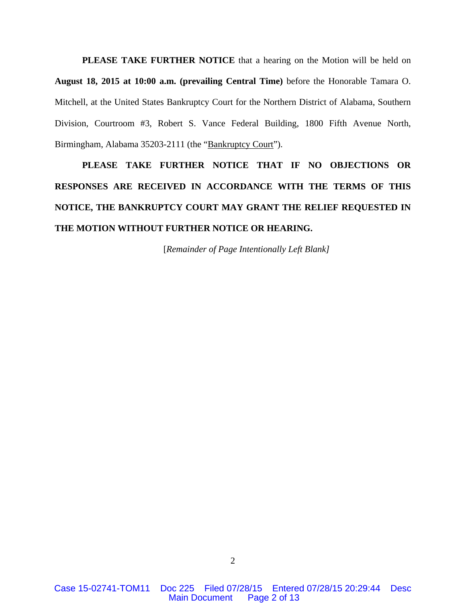**PLEASE TAKE FURTHER NOTICE** that a hearing on the Motion will be held on **August 18, 2015 at 10:00 a.m. (prevailing Central Time)** before the Honorable Tamara O. Mitchell, at the United States Bankruptcy Court for the Northern District of Alabama, Southern Division, Courtroom #3, Robert S. Vance Federal Building, 1800 Fifth Avenue North, Birmingham, Alabama 35203-2111 (the "Bankruptcy Court").

**PLEASE TAKE FURTHER NOTICE THAT IF NO OBJECTIONS OR RESPONSES ARE RECEIVED IN ACCORDANCE WITH THE TERMS OF THIS NOTICE, THE BANKRUPTCY COURT MAY GRANT THE RELIEF REQUESTED IN THE MOTION WITHOUT FURTHER NOTICE OR HEARING.** 

[*Remainder of Page Intentionally Left Blank]*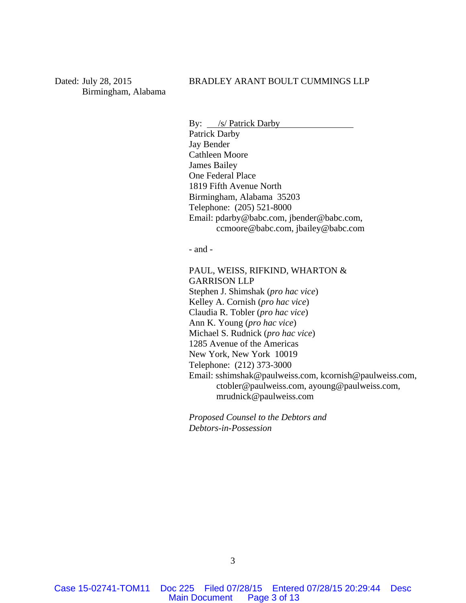Dated: July 28, 2015 Birmingham, Alabama

## BRADLEY ARANT BOULT CUMMINGS LLP

By: /s/ Patrick Darby Patrick Darby Jay Bender Cathleen Moore James Bailey One Federal Place 1819 Fifth Avenue North Birmingham, Alabama 35203 Telephone: (205) 521-8000 Email: pdarby@babc.com, jbender@babc.com, ccmoore@babc.com, jbailey@babc.com

- and -

PAUL, WEISS, RIFKIND, WHARTON & GARRISON LLP Stephen J. Shimshak (*pro hac vice*) Kelley A. Cornish (*pro hac vice*) Claudia R. Tobler (*pro hac vice*) Ann K. Young (*pro hac vice*) Michael S. Rudnick (*pro hac vice*) 1285 Avenue of the Americas New York, New York 10019 Telephone: (212) 373-3000 Email: sshimshak@paulweiss.com, kcornish@paulweiss.com, ctobler@paulweiss.com, ayoung@paulweiss.com, mrudnick@paulweiss.com

*Proposed Counsel to the Debtors and Debtors-in-Possession*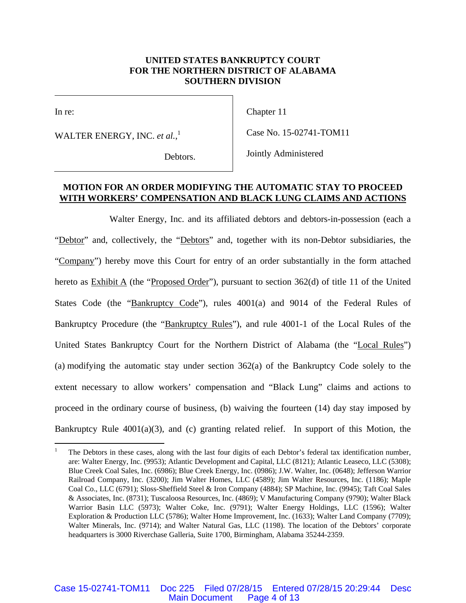## **UNITED STATES BANKRUPTCY COURT FOR THE NORTHERN DISTRICT OF ALABAMA SOUTHERN DIVISION**

 $\overline{\phantom{a}}$ 

In re:

1

WALTER ENERGY, INC. *et al.*, 1

Chapter 11

Case No. 15-02741-TOM11

Debtors.

Jointly Administered

## **MOTION FOR AN ORDER MODIFYING THE AUTOMATIC STAY TO PROCEED WITH WORKERS' COMPENSATION AND BLACK LUNG CLAIMS AND ACTIONS**

Walter Energy, Inc. and its affiliated debtors and debtors-in-possession (each a "Debtor" and, collectively, the "Debtors" and, together with its non-Debtor subsidiaries, the "Company") hereby move this Court for entry of an order substantially in the form attached hereto as  $Exhibit A$  (the "Proposed Order"), pursuant to section 362(d) of title 11 of the United States Code (the "Bankruptcy Code"), rules 4001(a) and 9014 of the Federal Rules of Bankruptcy Procedure (the "Bankruptcy Rules"), and rule 4001-1 of the Local Rules of the United States Bankruptcy Court for the Northern District of Alabama (the "Local Rules") (a) modifying the automatic stay under section 362(a) of the Bankruptcy Code solely to the extent necessary to allow workers' compensation and "Black Lung" claims and actions to proceed in the ordinary course of business, (b) waiving the fourteen (14) day stay imposed by Bankruptcy Rule 4001(a)(3), and (c) granting related relief. In support of this Motion, the

<sup>1</sup> The Debtors in these cases, along with the last four digits of each Debtor's federal tax identification number, are: Walter Energy, Inc. (9953); Atlantic Development and Capital, LLC (8121); Atlantic Leaseco, LLC (5308); Blue Creek Coal Sales, Inc. (6986); Blue Creek Energy, Inc. (0986); J.W. Walter, Inc. (0648); Jefferson Warrior Railroad Company, Inc. (3200); Jim Walter Homes, LLC (4589); Jim Walter Resources, Inc. (1186); Maple Coal Co., LLC (6791); Sloss-Sheffield Steel & Iron Company (4884); SP Machine, Inc. (9945); Taft Coal Sales & Associates, Inc. (8731); Tuscaloosa Resources, Inc. (4869); V Manufacturing Company (9790); Walter Black Warrior Basin LLC (5973); Walter Coke, Inc. (9791); Walter Energy Holdings, LLC (1596); Walter Exploration & Production LLC (5786); Walter Home Improvement, Inc. (1633); Walter Land Company (7709); Walter Minerals, Inc. (9714); and Walter Natural Gas, LLC (1198). The location of the Debtors' corporate headquarters is 3000 Riverchase Galleria, Suite 1700, Birmingham, Alabama 35244-2359.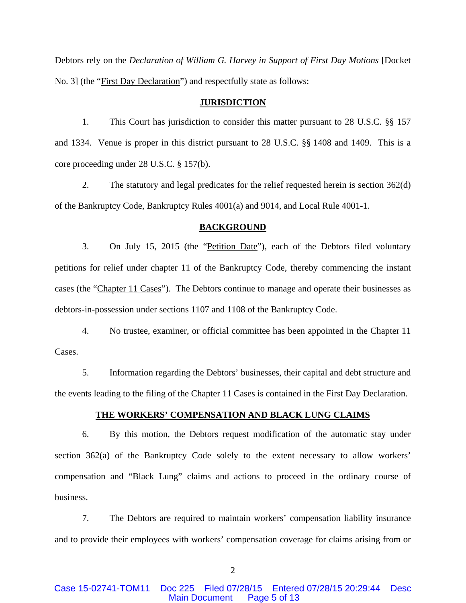Debtors rely on the *Declaration of William G. Harvey in Support of First Day Motions* [Docket No. 3] (the "*First Day Declaration*") and respectfully state as follows:

#### **JURISDICTION**

1. This Court has jurisdiction to consider this matter pursuant to 28 U.S.C. §§ 157 and 1334. Venue is proper in this district pursuant to 28 U.S.C. §§ 1408 and 1409. This is a core proceeding under 28 U.S.C. § 157(b).

2. The statutory and legal predicates for the relief requested herein is section 362(d) of the Bankruptcy Code, Bankruptcy Rules 4001(a) and 9014, and Local Rule 4001-1.

#### **BACKGROUND**

3. On July 15, 2015 (the "Petition Date"), each of the Debtors filed voluntary petitions for relief under chapter 11 of the Bankruptcy Code, thereby commencing the instant cases (the "Chapter 11 Cases"). The Debtors continue to manage and operate their businesses as debtors-in-possession under sections 1107 and 1108 of the Bankruptcy Code.

4. No trustee, examiner, or official committee has been appointed in the Chapter 11 Cases.

5. Information regarding the Debtors' businesses, their capital and debt structure and the events leading to the filing of the Chapter 11 Cases is contained in the First Day Declaration.

## **THE WORKERS' COMPENSATION AND BLACK LUNG CLAIMS**

6. By this motion, the Debtors request modification of the automatic stay under section 362(a) of the Bankruptcy Code solely to the extent necessary to allow workers' compensation and "Black Lung" claims and actions to proceed in the ordinary course of business.

7. The Debtors are required to maintain workers' compensation liability insurance and to provide their employees with workers' compensation coverage for claims arising from or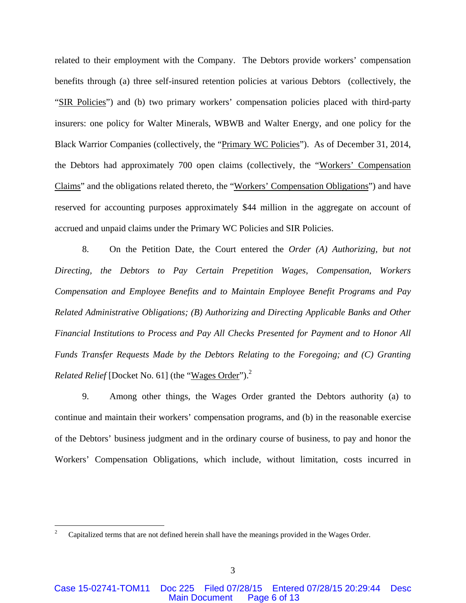related to their employment with the Company. The Debtors provide workers' compensation benefits through (a) three self-insured retention policies at various Debtors (collectively, the "SIR Policies") and (b) two primary workers' compensation policies placed with third-party insurers: one policy for Walter Minerals, WBWB and Walter Energy, and one policy for the Black Warrior Companies (collectively, the "Primary WC Policies"). As of December 31, 2014, the Debtors had approximately 700 open claims (collectively, the "Workers' Compensation Claims" and the obligations related thereto, the "Workers' Compensation Obligations") and have reserved for accounting purposes approximately \$44 million in the aggregate on account of accrued and unpaid claims under the Primary WC Policies and SIR Policies.

8. On the Petition Date, the Court entered the *Order (A) Authorizing, but not Directing, the Debtors to Pay Certain Prepetition Wages, Compensation, Workers Compensation and Employee Benefits and to Maintain Employee Benefit Programs and Pay Related Administrative Obligations; (B) Authorizing and Directing Applicable Banks and Other Financial Institutions to Process and Pay All Checks Presented for Payment and to Honor All Funds Transfer Requests Made by the Debtors Relating to the Foregoing; and (C) Granting Related Relief* [Docket No. 61] (the "Wages Order").<sup>2</sup>

9. Among other things, the Wages Order granted the Debtors authority (a) to continue and maintain their workers' compensation programs, and (b) in the reasonable exercise of the Debtors' business judgment and in the ordinary course of business, to pay and honor the Workers' Compensation Obligations, which include, without limitation, costs incurred in

 $\overline{a}$ 

<sup>2</sup> Capitalized terms that are not defined herein shall have the meanings provided in the Wages Order.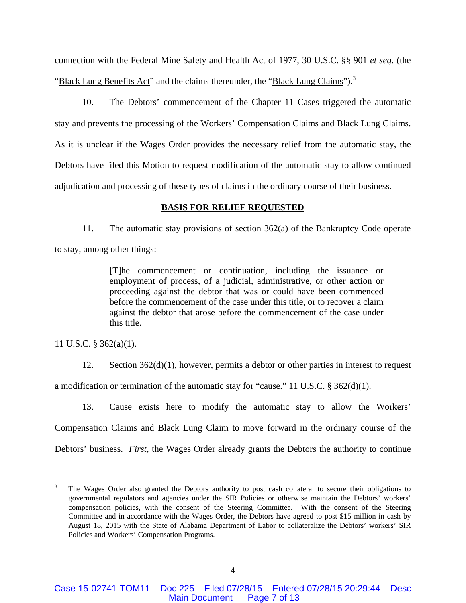connection with the Federal Mine Safety and Health Act of 1977, 30 U.S.C. §§ 901 *et seq.* (the "Black Lung Benefits Act" and the claims thereunder, the "Black Lung Claims").<sup>3</sup>

10. The Debtors' commencement of the Chapter 11 Cases triggered the automatic stay and prevents the processing of the Workers' Compensation Claims and Black Lung Claims. As it is unclear if the Wages Order provides the necessary relief from the automatic stay, the Debtors have filed this Motion to request modification of the automatic stay to allow continued adjudication and processing of these types of claims in the ordinary course of their business.

#### **BASIS FOR RELIEF REQUESTED**

11. The automatic stay provisions of section 362(a) of the Bankruptcy Code operate to stay, among other things:

> [T]he commencement or continuation, including the issuance or employment of process, of a judicial, administrative, or other action or proceeding against the debtor that was or could have been commenced before the commencement of the case under this title, or to recover a claim against the debtor that arose before the commencement of the case under this title.

11 U.S.C. § 362(a)(1).

 $\overline{a}$ 

12. Section 362(d)(1), however, permits a debtor or other parties in interest to request a modification or termination of the automatic stay for "cause." 11 U.S.C.  $\S 362(d)(1)$ .

13. Cause exists here to modify the automatic stay to allow the Workers' Compensation Claims and Black Lung Claim to move forward in the ordinary course of the Debtors' business. *First*, the Wages Order already grants the Debtors the authority to continue

<sup>3</sup> The Wages Order also granted the Debtors authority to post cash collateral to secure their obligations to governmental regulators and agencies under the SIR Policies or otherwise maintain the Debtors' workers' compensation policies, with the consent of the Steering Committee. With the consent of the Steering Committee and in accordance with the Wages Order, the Debtors have agreed to post \$15 million in cash by August 18, 2015 with the State of Alabama Department of Labor to collateralize the Debtors' workers' SIR Policies and Workers' Compensation Programs.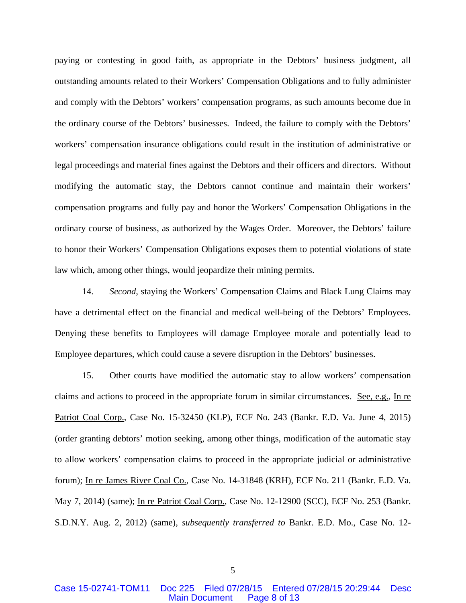paying or contesting in good faith, as appropriate in the Debtors' business judgment, all outstanding amounts related to their Workers' Compensation Obligations and to fully administer and comply with the Debtors' workers' compensation programs, as such amounts become due in the ordinary course of the Debtors' businesses. Indeed, the failure to comply with the Debtors' workers' compensation insurance obligations could result in the institution of administrative or legal proceedings and material fines against the Debtors and their officers and directors. Without modifying the automatic stay, the Debtors cannot continue and maintain their workers' compensation programs and fully pay and honor the Workers' Compensation Obligations in the ordinary course of business, as authorized by the Wages Order. Moreover, the Debtors' failure to honor their Workers' Compensation Obligations exposes them to potential violations of state law which, among other things, would jeopardize their mining permits.

14. *Second*, staying the Workers' Compensation Claims and Black Lung Claims may have a detrimental effect on the financial and medical well-being of the Debtors' Employees. Denying these benefits to Employees will damage Employee morale and potentially lead to Employee departures, which could cause a severe disruption in the Debtors' businesses.

15. Other courts have modified the automatic stay to allow workers' compensation claims and actions to proceed in the appropriate forum in similar circumstances. See, e.g., In re Patriot Coal Corp., Case No. 15-32450 (KLP), ECF No. 243 (Bankr. E.D. Va. June 4, 2015) (order granting debtors' motion seeking, among other things, modification of the automatic stay to allow workers' compensation claims to proceed in the appropriate judicial or administrative forum); In re James River Coal Co., Case No. 14-31848 (KRH), ECF No. 211 (Bankr. E.D. Va. May 7, 2014) (same); In re Patriot Coal Corp., Case No. 12-12900 (SCC), ECF No. 253 (Bankr. S.D.N.Y. Aug. 2, 2012) (same), *subsequently transferred to* Bankr. E.D. Mo., Case No. 12-

5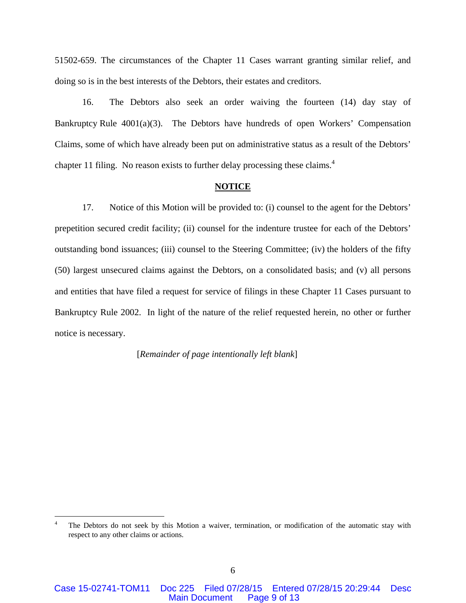51502-659. The circumstances of the Chapter 11 Cases warrant granting similar relief, and doing so is in the best interests of the Debtors, their estates and creditors.

16. The Debtors also seek an order waiving the fourteen (14) day stay of Bankruptcy Rule 4001(a)(3). The Debtors have hundreds of open Workers' Compensation Claims, some of which have already been put on administrative status as a result of the Debtors' chapter 11 filing. No reason exists to further delay processing these claims.4

#### **NOTICE**

17. Notice of this Motion will be provided to: (i) counsel to the agent for the Debtors' prepetition secured credit facility; (ii) counsel for the indenture trustee for each of the Debtors' outstanding bond issuances; (iii) counsel to the Steering Committee; (iv) the holders of the fifty (50) largest unsecured claims against the Debtors, on a consolidated basis; and (v) all persons and entities that have filed a request for service of filings in these Chapter 11 Cases pursuant to Bankruptcy Rule 2002. In light of the nature of the relief requested herein, no other or further notice is necessary.

[*Remainder of page intentionally left blank*]

1

<sup>4</sup> The Debtors do not seek by this Motion a waiver, termination, or modification of the automatic stay with respect to any other claims or actions.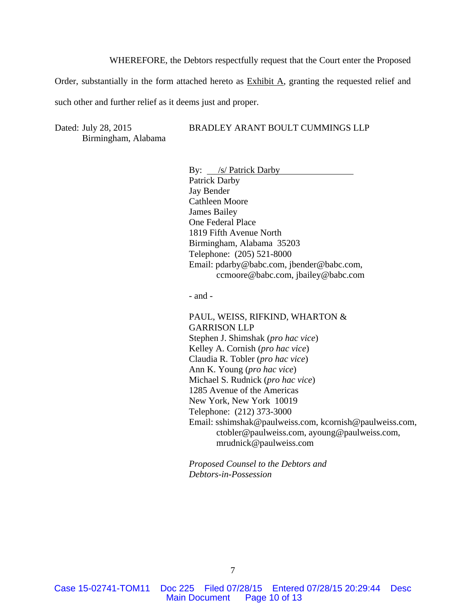WHEREFORE, the Debtors respectfully request that the Court enter the Proposed

Order, substantially in the form attached hereto as  $\overline{\text{Exhibit A}}$ , granting the requested relief and such other and further relief as it deems just and proper.

Dated: July 28, 2015 Birmingham, Alabama BRADLEY ARANT BOULT CUMMINGS LLP

By: <u>/s/ Patrick Darby</u> Patrick Darby Jay Bender Cathleen Moore James Bailey One Federal Place 1819 Fifth Avenue North Birmingham, Alabama 35203 Telephone: (205) 521-8000 Email: pdarby@babc.com, jbender@babc.com, ccmoore@babc.com, jbailey@babc.com

- and -

PAUL, WEISS, RIFKIND, WHARTON & GARRISON LLP Stephen J. Shimshak (*pro hac vice*) Kelley A. Cornish (*pro hac vice*) Claudia R. Tobler (*pro hac vice*) Ann K. Young (*pro hac vice*) Michael S. Rudnick (*pro hac vice*) 1285 Avenue of the Americas New York, New York 10019 Telephone: (212) 373-3000 Email: sshimshak@paulweiss.com, kcornish@paulweiss.com, ctobler@paulweiss.com, ayoung@paulweiss.com, mrudnick@paulweiss.com

*Proposed Counsel to the Debtors and Debtors-in-Possession*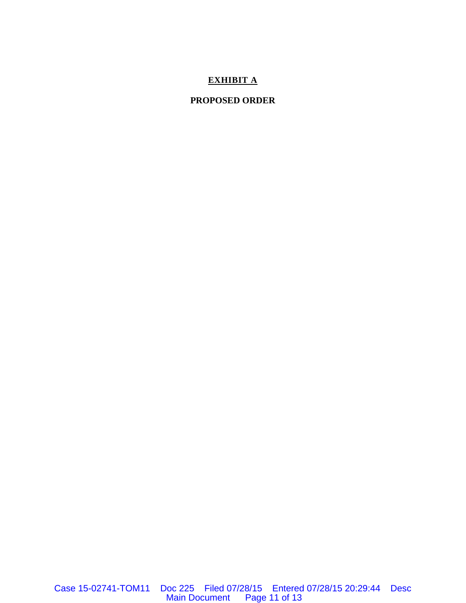# **EXHIBIT A**

# **PROPOSED ORDER**

Case 15-02741-TOM11 Doc 225 Filed 07/28/15 Entered 07/28/15 20:29:44 Desc Main Document Page 11 of 13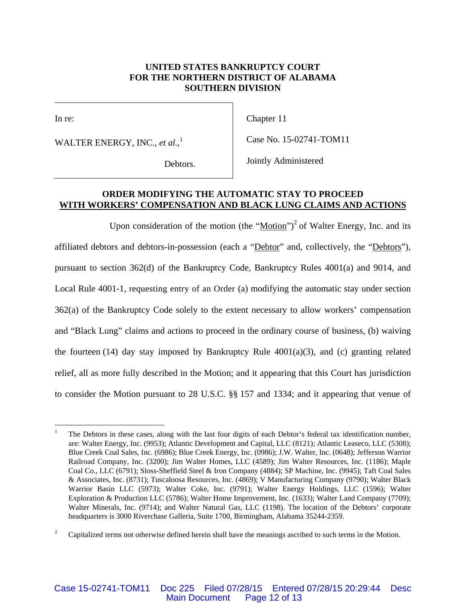# **UNITED STATES BANKRUPTCY COURT FOR THE NORTHERN DISTRICT OF ALABAMA SOUTHERN DIVISION**

 $\overline{\phantom{a}}$ 

In re:

 $\overline{a}$ 

WALTER ENERGY, INC., *et al.*, 1

Chapter 11

Case No. 15-02741-TOM11

Debtors.

Jointly Administered

## **ORDER MODIFYING THE AUTOMATIC STAY TO PROCEED WITH WORKERS' COMPENSATION AND BLACK LUNG CLAIMS AND ACTIONS**

Upon consideration of the motion (the "Motion")<sup>2</sup> of Walter Energy, Inc. and its affiliated debtors and debtors-in-possession (each a "Debtor" and, collectively, the "Debtors"), pursuant to section 362(d) of the Bankruptcy Code, Bankruptcy Rules 4001(a) and 9014, and Local Rule 4001-1, requesting entry of an Order (a) modifying the automatic stay under section 362(a) of the Bankruptcy Code solely to the extent necessary to allow workers' compensation and "Black Lung" claims and actions to proceed in the ordinary course of business, (b) waiving the fourteen  $(14)$  day stay imposed by Bankruptcy Rule  $4001(a)(3)$ , and  $(c)$  granting related relief, all as more fully described in the Motion; and it appearing that this Court has jurisdiction to consider the Motion pursuant to 28 U.S.C. §§ 157 and 1334; and it appearing that venue of

<sup>1</sup> The Debtors in these cases, along with the last four digits of each Debtor's federal tax identification number, are: Walter Energy, Inc. (9953); Atlantic Development and Capital, LLC (8121); Atlantic Leaseco, LLC (5308); Blue Creek Coal Sales, Inc. (6986); Blue Creek Energy, Inc. (0986); J.W. Walter, Inc. (0648); Jefferson Warrior Railroad Company, Inc. (3200); Jim Walter Homes, LLC (4589); Jim Walter Resources, Inc. (1186); Maple Coal Co., LLC (6791); Sloss-Sheffield Steel & Iron Company (4884); SP Machine, Inc. (9945); Taft Coal Sales & Associates, Inc. (8731); Tuscaloosa Resources, Inc. (4869); V Manufacturing Company (9790); Walter Black Warrior Basin LLC (5973); Walter Coke, Inc. (9791); Walter Energy Holdings, LLC (1596); Walter Exploration & Production LLC (5786); Walter Home Improvement, Inc. (1633); Walter Land Company (7709); Walter Minerals, Inc. (9714); and Walter Natural Gas, LLC (1198). The location of the Debtors' corporate headquarters is 3000 Riverchase Galleria, Suite 1700, Birmingham, Alabama 35244-2359.

<sup>2</sup> Capitalized terms not otherwise defined herein shall have the meanings ascribed to such terms in the Motion.